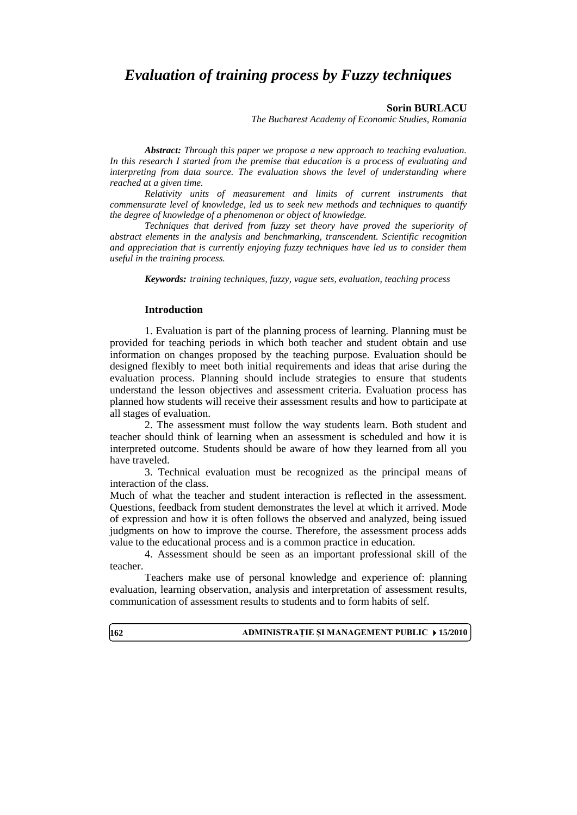# *Evaluation of training process by Fuzzy techniques*

#### **Sorin BURLACU**

*The Bucharest Academy of Economic Studies, Romania*

*Abstract: Through this paper we propose a new approach to teaching evaluation. In this research I started from the premise that education is a process of evaluating and interpreting from data source. The evaluation shows the level of understanding where reached at a given time.*

*Relativity units of measurement and limits of current instruments that commensurate level of knowledge, led us to seek new methods and techniques to quantify the degree of knowledge of a phenomenon or object of knowledge.*

*Techniques that derived from fuzzy set theory have proved the superiority of abstract elements in the analysis and benchmarking, transcendent. Scientific recognition and appreciation that is currently enjoying fuzzy techniques have led us to consider them useful in the training process.*

*Keywords: training techniques, fuzzy, vague sets, evaluation, teaching process*

### **Introduction**

1. Evaluation is part of the planning process of learning. Planning must be provided for teaching periods in which both teacher and student obtain and use information on changes proposed by the teaching purpose. Evaluation should be designed flexibly to meet both initial requirements and ideas that arise during the evaluation process. Planning should include strategies to ensure that students understand the lesson objectives and assessment criteria. Evaluation process has planned how students will receive their assessment results and how to participate at all stages of evaluation.

2. The assessment must follow the way students learn. Both student and teacher should think of learning when an assessment is scheduled and how it is interpreted outcome. Students should be aware of how they learned from all you have traveled.

3. Technical evaluation must be recognized as the principal means of interaction of the class.

Much of what the teacher and student interaction is reflected in the assessment. Questions, feedback from student demonstrates the level at which it arrived. Mode of expression and how it is often follows the observed and analyzed, being issued judgments on how to improve the course. Therefore, the assessment process adds value to the educational process and is a common practice in education.

4. Assessment should be seen as an important professional skill of the teacher.

Teachers make use of personal knowledge and experience of: planning evaluation, learning observation, analysis and interpretation of assessment results, communication of assessment results to students and to form habits of self.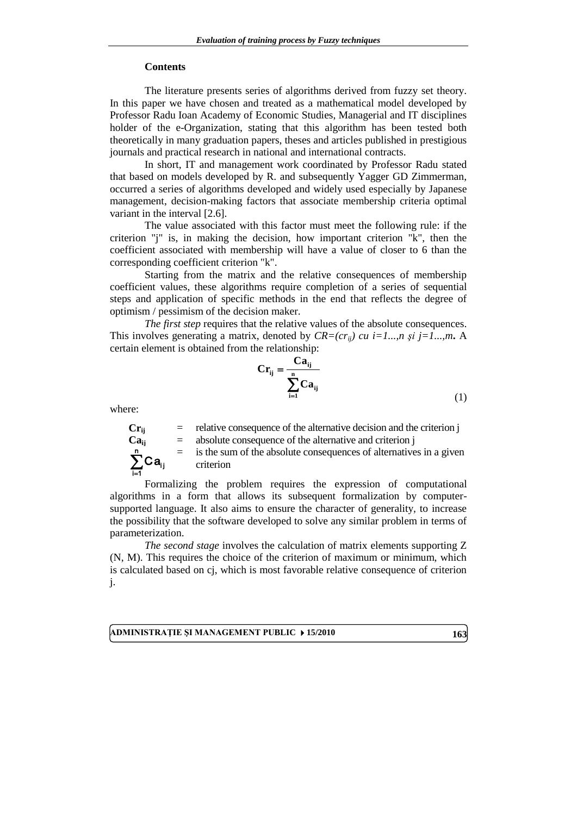#### **Contents**

The literature presents series of algorithms derived from fuzzy set theory. In this paper we have chosen and treated as a mathematical model developed by Professor Radu Ioan Academy of Economic Studies, Managerial and IT disciplines holder of the e-Organization, stating that this algorithm has been tested both theoretically in many graduation papers, theses and articles published in prestigious journals and practical research in national and international contracts.

In short, IT and management work coordinated by Professor Radu stated that based on models developed by R. and subsequently Yagger GD Zimmerman, occurred a series of algorithms developed and widely used especially by Japanese management, decision-making factors that associate membership criteria optimal variant in the interval [2.6].

The value associated with this factor must meet the following rule: if the criterion "j" is, in making the decision, how important criterion "k", then the coefficient associated with membership will have a value of closer to 6 than the corresponding coefficient criterion "k".

Starting from the matrix and the relative consequences of membership coefficient values, these algorithms require completion of a series of sequential steps and application of specific methods in the end that reflects the degree of optimism / pessimism of the decision maker.

*The first step* requires that the relative values of the absolute consequences. This involves generating a matrix, denoted by  $CR=(cr_{ii})$  cu i=1...,n și j=1...,m. A certain element is obtained from the relationship:

$$
Cr_{ij} = \frac{Ca_{ij}}{\sum_{i=1}^{n} Ca_{ij}}\tag{1}
$$

where:

 $\sum_{i=1}$ n

Ca<sub>ij</sub>

i=1

 $Cr_{ij}$  = relative consequence of the alternative decision and the criterion j<br>  $Ca_{ii}$  = absolute consequence of the alternative and criterion j = absolute consequence of the alternative and criterion j

= is the sum of the absolute consequences of alternatives in a given criterion

Formalizing the problem requires the expression of computational algorithms in a form that allows its subsequent formalization by computersupported language. It also aims to ensure the character of generality, to increase the possibility that the software developed to solve any similar problem in terms of parameterization.

*The second stage* involves the calculation of matrix elements supporting Z (N, M). This requires the choice of the criterion of maximum or minimum, which is calculated based on cj, which is most favorable relative consequence of criterion j.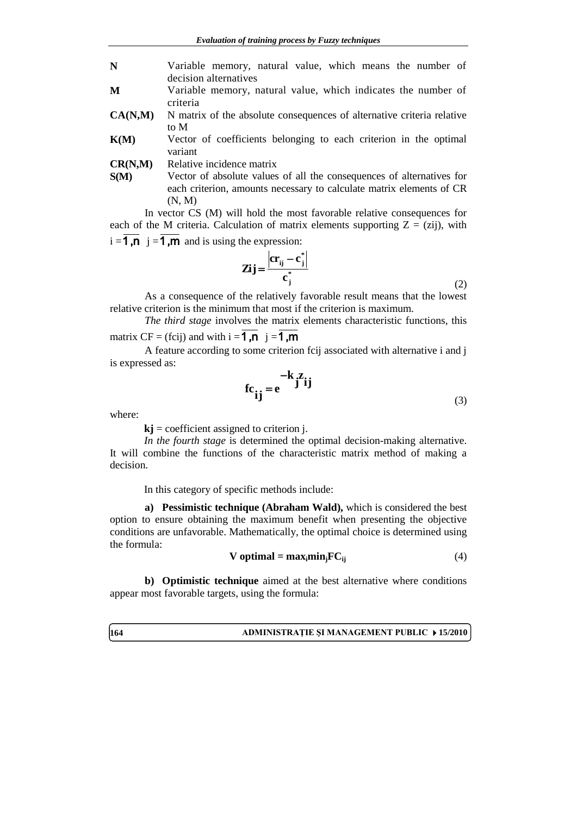- **N** Variable memory, natural value, which means the number of decision alternatives
- **M** Variable memory, natural value, which indicates the number of criteria
- **CA(N,M)** N matrix of the absolute consequences of alternative criteria relative to M
- **K(M)** Vector of coefficients belonging to each criterion in the optimal variant
- **CR(N,M)** Relative incidence matrix
- **S(M)** Vector of absolute values of all the consequences of alternatives for each criterion, amounts necessary to calculate matrix elements of CR (N, M)

In vector CS (M) will hold the most favorable relative consequences for each of the M criteria. Calculation of matrix elements supporting  $Z = (zi)$ , with  $i = 1, n \, j = 1, m$  and is using the expression:

$$
\mathbf{Zij} = \frac{\left| \mathbf{cr}_{ij} - \mathbf{c}_j^* \right|}{\mathbf{c}_j^*}
$$
 (2)

As a consequence of the relatively favorable result means that the lowest relative criterion is the minimum that most if the criterion is maximum.

*The third stage* involves the matrix elements characteristic functions, this matrix CF = (fcij) and with  $i = 1, n \, j = 1, m$ 

A feature according to some criterion fcij associated with alternative i and j is expressed as:

$$
fc_{ij} = e^{-k} j^{z} ij
$$
 (3)

where:

 $kj$  = coefficient assigned to criterion *j*.

*In the fourth stage* is determined the optimal decision-making alternative. It will combine the functions of the characteristic matrix method of making a decision.

In this category of specific methods include:

**a) Pessimistic technique (Abraham Wald),** which is considered the best option to ensure obtaining the maximum benefit when presenting the objective conditions are unfavorable. Mathematically, the optimal choice is determined using the formula:

$$
V optimal = max_i min_j FC_{ij}
$$
 (4)

**b) Optimistic technique** aimed at the best alternative where conditions appear most favorable targets, using the formula: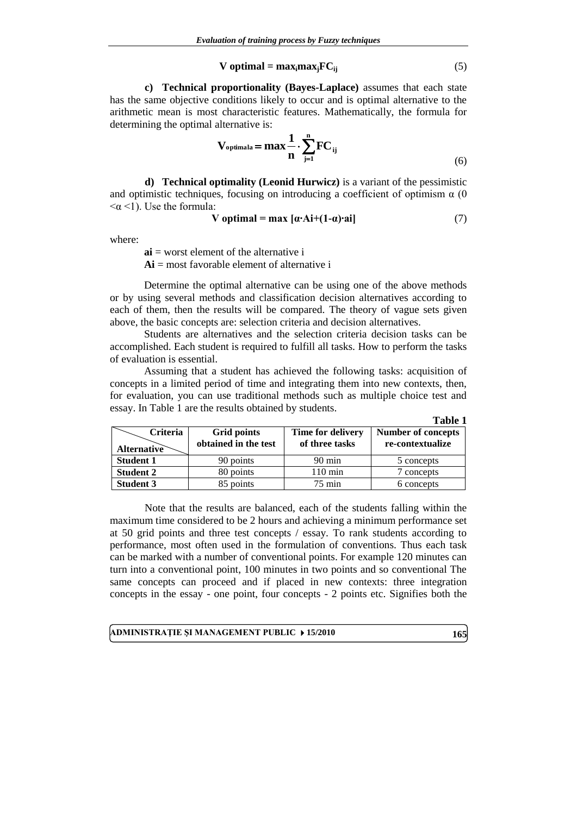$$
V optimal = max_{i} max_{j} FC_{ij}
$$
 (5)

**c) Technical proportionality (Bayes-Laplace)** assumes that each state has the same objective conditions likely to occur and is optimal alternative to the arithmetic mean is most characteristic features. Mathematically, the formula for determining the optimal alternative is:

$$
V_{\text{optimala}} = \max \frac{1}{n} \cdot \sum_{j=1}^{n} FC_{ij}
$$
\n(6)

**d) Technical optimality (Leonid Hurwicz)** is a variant of the pessimistic and optimistic techniques, focusing on introducing a coefficient of optimism  $\alpha$  (0)  $\langle \alpha \langle 1 \rangle$ . Use the formula:

$$
V optimal = max [\alpha \cdot Ai + (1 - \alpha) \cdot ai]
$$
 (7)

where:

**ai** = worst element of the alternative i **Ai** = most favorable element of alternative i

Determine the optimal alternative can be using one of the above methods or by using several methods and classification decision alternatives according to each of them, then the results will be compared. The theory of vague sets given above, the basic concepts are: selection criteria and decision alternatives.

Students are alternatives and the selection criteria decision tasks can be accomplished. Each student is required to fulfill all tasks. How to perform the tasks of evaluation is essential.

Assuming that a student has achieved the following tasks: acquisition of concepts in a limited period of time and integrating them into new contexts, then, for evaluation, you can use traditional methods such as multiple choice test and essay. In Table 1 are the results obtained by students.

|                                |                                            |                                     | Table 1                                       |
|--------------------------------|--------------------------------------------|-------------------------------------|-----------------------------------------------|
| Criteria<br><b>Alternative</b> | <b>Grid points</b><br>obtained in the test | Time for delivery<br>of three tasks | <b>Number of concepts</b><br>re-contextualize |
| <b>Student 1</b>               | 90 points                                  | $90 \text{ min}$                    | 5 concepts                                    |
| <b>Student 2</b>               | 80 points                                  | $110 \text{ min}$                   | 7 concepts                                    |
| <b>Student 3</b>               | 85 points                                  | $75 \text{ min}$                    | 6 concepts                                    |

Note that the results are balanced, each of the students falling within the maximum time considered to be 2 hours and achieving a minimum performance set at 50 grid points and three test concepts / essay. To rank students according to performance, most often used in the formulation of conventions. Thus each task can be marked with a number of conventional points. For example 120 minutes can turn into a conventional point, 100 minutes in two points and so conventional The same concepts can proceed and if placed in new contexts: three integration concepts in the essay - one point, four concepts - 2 points etc. Signifies both the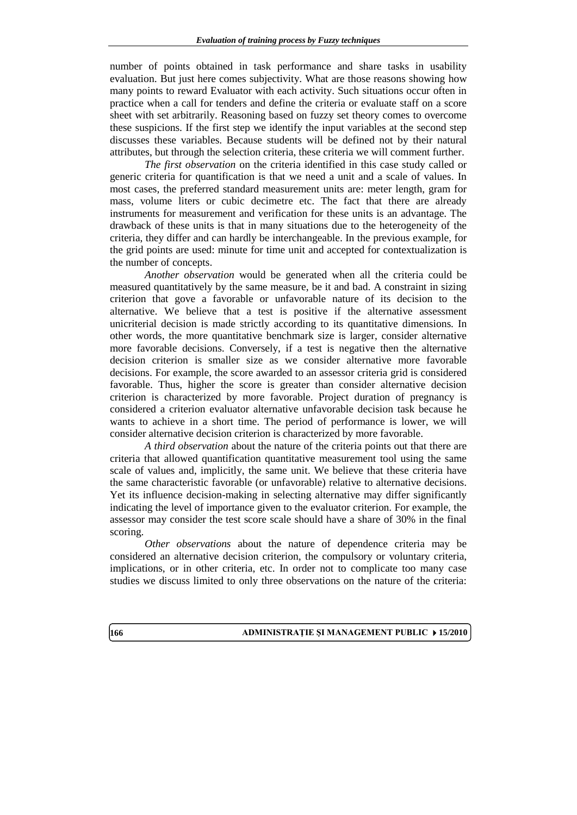number of points obtained in task performance and share tasks in usability evaluation. But just here comes subjectivity. What are those reasons showing how many points to reward Evaluator with each activity. Such situations occur often in practice when a call for tenders and define the criteria or evaluate staff on a score sheet with set arbitrarily. Reasoning based on fuzzy set theory comes to overcome these suspicions. If the first step we identify the input variables at the second step discusses these variables. Because students will be defined not by their natural attributes, but through the selection criteria, these criteria we will comment further.

*The first observation* on the criteria identified in this case study called or generic criteria for quantification is that we need a unit and a scale of values. In most cases, the preferred standard measurement units are: meter length, gram for mass, volume liters or cubic decimetre etc. The fact that there are already instruments for measurement and verification for these units is an advantage. The drawback of these units is that in many situations due to the heterogeneity of the criteria, they differ and can hardly be interchangeable. In the previous example, for the grid points are used: minute for time unit and accepted for contextualization is the number of concepts.

*Another observation* would be generated when all the criteria could be measured quantitatively by the same measure, be it and bad. A constraint in sizing criterion that gove a favorable or unfavorable nature of its decision to the alternative. We believe that a test is positive if the alternative assessment unicriterial decision is made strictly according to its quantitative dimensions. In other words, the more quantitative benchmark size is larger, consider alternative more favorable decisions. Conversely, if a test is negative then the alternative decision criterion is smaller size as we consider alternative more favorable decisions. For example, the score awarded to an assessor criteria grid is considered favorable. Thus, higher the score is greater than consider alternative decision criterion is characterized by more favorable. Project duration of pregnancy is considered a criterion evaluator alternative unfavorable decision task because he wants to achieve in a short time. The period of performance is lower, we will consider alternative decision criterion is characterized by more favorable.

*A third observation* about the nature of the criteria points out that there are criteria that allowed quantification quantitative measurement tool using the same scale of values and, implicitly, the same unit. We believe that these criteria have the same characteristic favorable (or unfavorable) relative to alternative decisions. Yet its influence decision-making in selecting alternative may differ significantly indicating the level of importance given to the evaluator criterion. For example, the assessor may consider the test score scale should have a share of 30% in the final scoring.

*Other observations* about the nature of dependence criteria may be considered an alternative decision criterion, the compulsory or voluntary criteria, implications, or in other criteria, etc. In order not to complicate too many case studies we discuss limited to only three observations on the nature of the criteria: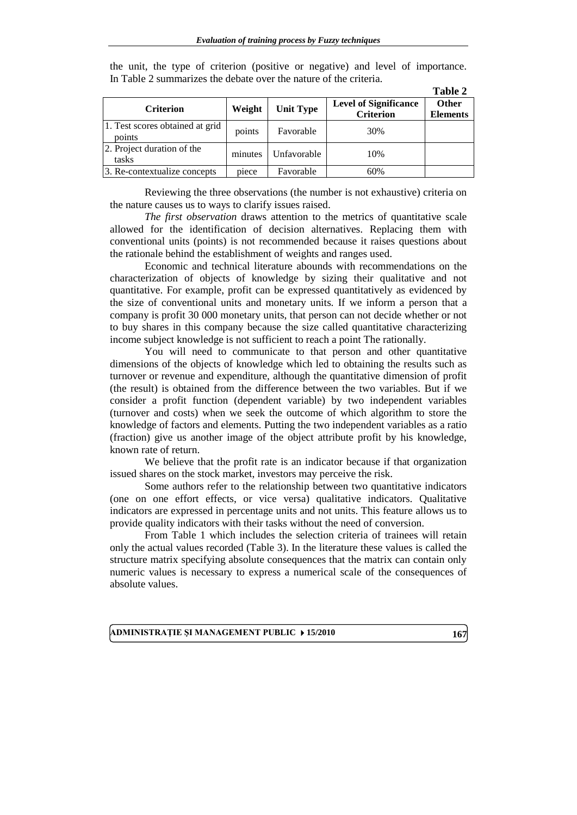| <b>Criterion</b>                          | Weight  | <b>Unit Type</b> | <b>Level of Significance</b><br><b>Criterion</b> | <b>Other</b><br><b>Elements</b> |
|-------------------------------------------|---------|------------------|--------------------------------------------------|---------------------------------|
| 1. Test scores obtained at grid<br>points | points  | Favorable        | 30%                                              |                                 |
| 2. Project duration of the<br>tasks       | minutes | Unfavorable      | 10%                                              |                                 |
| 3. Re-contextualize concepts              | piece   | Favorable        | 60%                                              |                                 |

the unit, the type of criterion (positive or negative) and level of importance. In Table 2 summarizes the debate over the nature of the criteria.

Reviewing the three observations (the number is not exhaustive) criteria on the nature causes us to ways to clarify issues raised.

*The first observation* draws attention to the metrics of quantitative scale allowed for the identification of decision alternatives. Replacing them with conventional units (points) is not recommended because it raises questions about the rationale behind the establishment of weights and ranges used.

Economic and technical literature abounds with recommendations on the characterization of objects of knowledge by sizing their qualitative and not quantitative. For example, profit can be expressed quantitatively as evidenced by the size of conventional units and monetary units. If we inform a person that a company is profit 30 000 monetary units, that person can not decide whether or not to buy shares in this company because the size called quantitative characterizing income subject knowledge is not sufficient to reach a point The rationally.

You will need to communicate to that person and other quantitative dimensions of the objects of knowledge which led to obtaining the results such as turnover or revenue and expenditure, although the quantitative dimension of profit (the result) is obtained from the difference between the two variables. But if we consider a profit function (dependent variable) by two independent variables (turnover and costs) when we seek the outcome of which algorithm to store the knowledge of factors and elements. Putting the two independent variables as a ratio (fraction) give us another image of the object attribute profit by his knowledge, known rate of return.

We believe that the profit rate is an indicator because if that organization issued shares on the stock market, investors may perceive the risk.

Some authors refer to the relationship between two quantitative indicators (one on one effort effects, or vice versa) qualitative indicators. Qualitative indicators are expressed in percentage units and not units. This feature allows us to provide quality indicators with their tasks without the need of conversion.

From Table 1 which includes the selection criteria of trainees will retain only the actual values recorded (Table 3). In the literature these values is called the structure matrix specifying absolute consequences that the matrix can contain only numeric values is necessary to express a numerical scale of the consequences of absolute values.

**ADMINISTRAŢIE ŞI MANAGEMENT PUBLIC 15/2010 167**

**Table 2**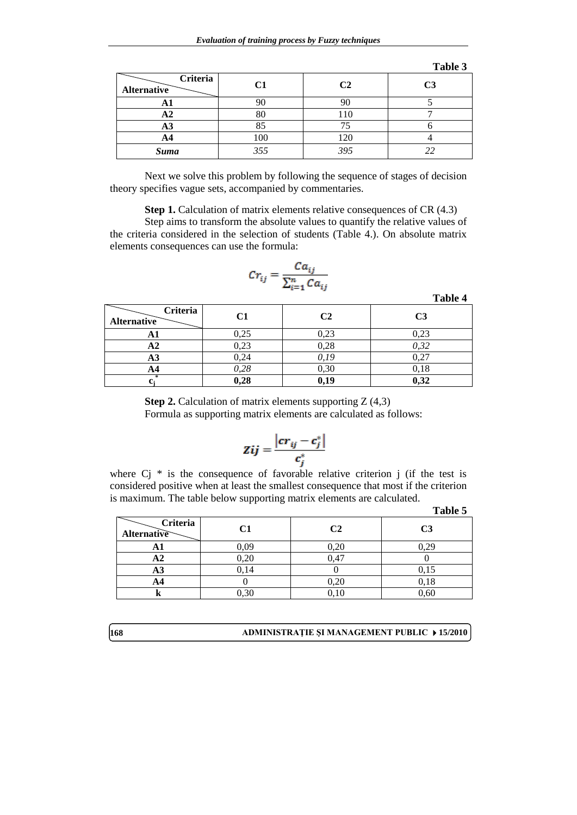|                                |     |                | Table 3        |
|--------------------------------|-----|----------------|----------------|
| Criteria<br><b>Alternative</b> | C1  | C <sub>2</sub> | C <sub>3</sub> |
| A l                            | 90  | 90             |                |
| ΑZ                             | 80  | 110            |                |
| A3                             | 85  |                |                |
| A4                             | 100 | 120            |                |
| <b>Suma</b>                    | 355 | 395            | 22             |

Next we solve this problem by following the sequence of stages of decision theory specifies vague sets, accompanied by commentaries.

**Step 1.** Calculation of matrix elements relative consequences of CR (4.3)

Step aims to transform the absolute values to quantify the relative values of the criteria considered in the selection of students (Table 4.). On absolute matrix elements consequences can use the formula:

$$
Cr_{ij} = \frac{Ca_{ij}}{\sum_{i=1}^{n} Ca_{ij}}
$$

**Table 4**

 **Criteria** Alternative **C1 C2 C3 A1** 0,25 0,23 0,23 **A2** 0,23 0,28 *0,32* **A3** 0,24 *0,19* 0,27 **A4** *0,28* 0,30 0,18 **cj \* 0,28 0,19 0,32**

> **Step 2.** Calculation of matrix elements supporting Z (4,3) Formula as supporting matrix elements are calculated as follows:

$$
Zij = \frac{|cr_{ij} - c_j^*|}{c_i^*}
$$

where  $Cj *$  is the consequence of favorable relative criterion j (if the test is considered positive when at least the smallest consequence that most if the criterion is maximum. The table below supporting matrix elements are calculated.

|                         | - -       |                | Table 5        |
|-------------------------|-----------|----------------|----------------|
| Criteria<br>Alternative | C1        | C <sub>2</sub> | C <sub>3</sub> |
| AП                      | 0,09      | 0,20           | 0,29           |
| A2                      | 0,20      | 0.47           |                |
| A <sub>3</sub>          | 0,14      |                | 0,15           |
| A4                      |           | $_{0,20}$      | 0,18           |
| в                       | $_{0,30}$ | 0,10           | 0,60           |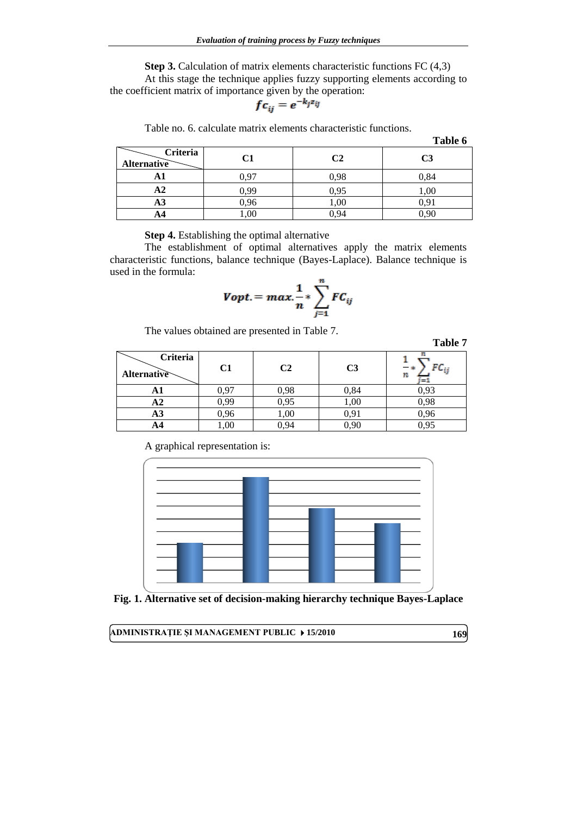**Step 3.** Calculation of matrix elements characteristic functions FC (4,3) At this stage the technique applies fuzzy supporting elements according to the coefficient matrix of importance given by the operation:

$$
fc_{ij}=e^{-k_jz_{ij}}
$$

Table no. 6. calculate matrix elements characteristic functions.

|                                       |      |      | Table 6        |
|---------------------------------------|------|------|----------------|
| <b>Criteria</b><br><b>Alternative</b> | C1   | C2   | C <sub>3</sub> |
| Αl                                    | 0.97 | 0.98 | 0,84           |
| $\bf{A2}$                             | 0,99 | 0,95 | 1,00           |
| A <sub>3</sub>                        | 0,96 | 1,00 | 0.91           |
|                                       | ,00  |      |                |

**Step 4.** Establishing the optimal alternative

The establishment of optimal alternatives apply the matrix elements characteristic functions, balance technique (Bayes-Laplace). Balance technique is used in the formula:

$$
Vopt. = max. \frac{1}{n} * \sum_{j=1}^{n} FC_{ij}
$$

The values obtained are presented in Table 7.

# **Table 7**

| Criteria<br>Alternative | C1   | C2   | C <sub>3</sub> | $ \ast$<br>n |
|-------------------------|------|------|----------------|--------------|
| AΙ                      | 97   | 0,98 | 0,84           | 0,93         |
| ΑZ                      | 0,99 | 0,95 | 1,00           | 0,98         |
| A3                      | 96,  | 1,00 | 0,91           | 0,96         |
| AЧ                      | .00  | 0.94 | 0,90           | 0.95         |

A graphical representation is:



**Fig. 1. Alternative set of decision-making hierarchy technique Bayes-Laplace**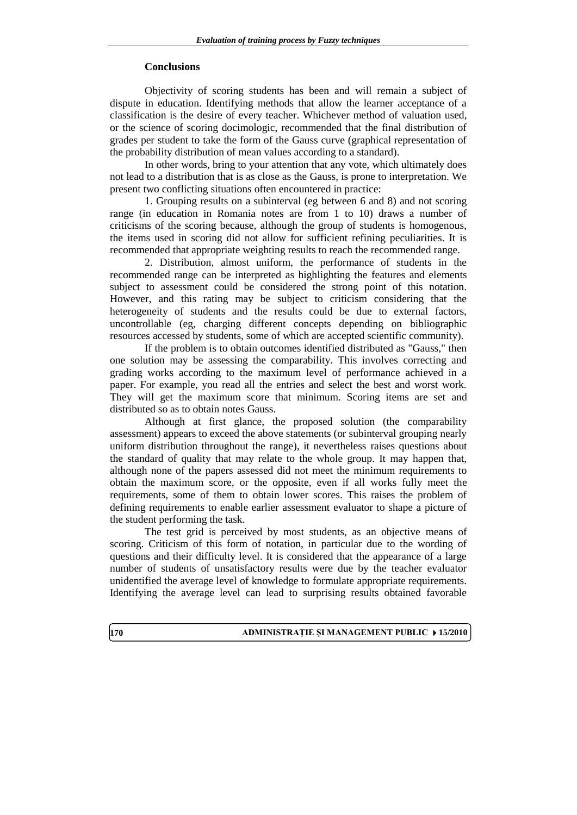## **Conclusions**

Objectivity of scoring students has been and will remain a subject of dispute in education. Identifying methods that allow the learner acceptance of a classification is the desire of every teacher. Whichever method of valuation used, or the science of scoring docimologic, recommended that the final distribution of grades per student to take the form of the Gauss curve (graphical representation of the probability distribution of mean values according to a standard).

In other words, bring to your attention that any vote, which ultimately does not lead to a distribution that is as close as the Gauss, is prone to interpretation. We present two conflicting situations often encountered in practice:

1. Grouping results on a subinterval (eg between 6 and 8) and not scoring range (in education in Romania notes are from 1 to 10) draws a number of criticisms of the scoring because, although the group of students is homogenous, the items used in scoring did not allow for sufficient refining peculiarities. It is recommended that appropriate weighting results to reach the recommended range.

2. Distribution, almost uniform, the performance of students in the recommended range can be interpreted as highlighting the features and elements subject to assessment could be considered the strong point of this notation. However, and this rating may be subject to criticism considering that the heterogeneity of students and the results could be due to external factors, uncontrollable (eg, charging different concepts depending on bibliographic resources accessed by students, some of which are accepted scientific community).

If the problem is to obtain outcomes identified distributed as "Gauss," then one solution may be assessing the comparability. This involves correcting and grading works according to the maximum level of performance achieved in a paper. For example, you read all the entries and select the best and worst work. They will get the maximum score that minimum. Scoring items are set and distributed so as to obtain notes Gauss.

Although at first glance, the proposed solution (the comparability assessment) appears to exceed the above statements (or subinterval grouping nearly uniform distribution throughout the range), it nevertheless raises questions about the standard of quality that may relate to the whole group. It may happen that, although none of the papers assessed did not meet the minimum requirements to obtain the maximum score, or the opposite, even if all works fully meet the requirements, some of them to obtain lower scores. This raises the problem of defining requirements to enable earlier assessment evaluator to shape a picture of the student performing the task.

The test grid is perceived by most students, as an objective means of scoring. Criticism of this form of notation, in particular due to the wording of questions and their difficulty level. It is considered that the appearance of a large number of students of unsatisfactory results were due by the teacher evaluator unidentified the average level of knowledge to formulate appropriate requirements. Identifying the average level can lead to surprising results obtained favorable